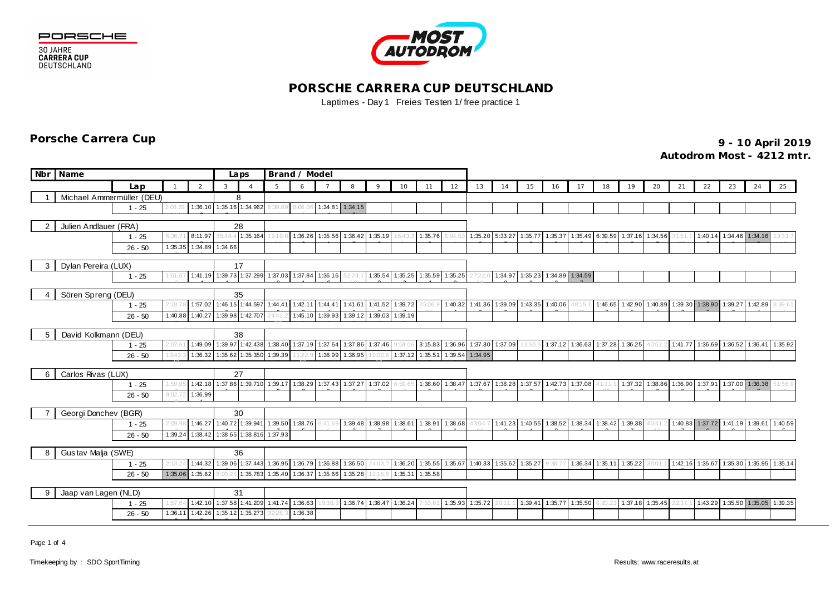





## **PORSCHE CARRERA CUP DEUTSCHLAND** Laptimes - Day 1 Freies Testen 1/ free practice 1

**9 - 10 April 2019 Porsche Carrera Cup**

**Autodrom Most - 4212 mtr.**

|                           | Nbr Name                  |                     |         |                                  | Brand / Model<br>Laps |                          |                          |                 |                 |                                         |                         |                 |         |                 |                 |                         |                                         |                 |                         |                                 |         |                                                                                 |    |                                         |    |                                 |         |
|---------------------------|---------------------------|---------------------|---------|----------------------------------|-----------------------|--------------------------|--------------------------|-----------------|-----------------|-----------------------------------------|-------------------------|-----------------|---------|-----------------|-----------------|-------------------------|-----------------------------------------|-----------------|-------------------------|---------------------------------|---------|---------------------------------------------------------------------------------|----|-----------------------------------------|----|---------------------------------|---------|
|                           |                           |                     |         |                                  |                       |                          |                          |                 |                 |                                         |                         |                 |         |                 |                 |                         |                                         |                 |                         |                                 |         |                                                                                 |    |                                         |    |                                 |         |
|                           |                           | Lap                 |         | 2                                | 3                     | $\overline{A}$           | 5                        | 6               |                 | 8                                       | $\circ$                 | 10              |         | 12              | 13              | 14                      | 15                                      | 16              | 17                      | 18                              | 19      | 20                                                                              | 21 | 22                                      | 23 | 24                              | 25      |
|                           | Michael Ammermüller (DEU) |                     |         |                                  |                       | 8                        |                          |                 |                 |                                         |                         |                 |         |                 |                 |                         |                                         |                 |                         |                                 |         |                                                                                 |    |                                         |    |                                 |         |
|                           |                           | $1 - 25$            | :06:29  |                                  |                       | 1:36.10 1:35.16 1:34.962 | 3:38.69                  | 8:06.06         |                 | 1:34.81 1:34.15                         |                         |                 |         |                 |                 |                         |                                         |                 |                         |                                 |         |                                                                                 |    |                                         |    |                                 |         |
|                           | Julien Andlauer (FRA)     |                     |         |                                  |                       | 28                       |                          |                 |                 |                                         |                         |                 |         |                 |                 |                         |                                         |                 |                         |                                 |         |                                                                                 |    |                                         |    |                                 |         |
|                           |                           | $1 - 25$            | 6:36.7  | 8:11.97                          |                       | 35:48.4 1:35.164         | 19:19.6                  |                 |                 | 1:36.26 1:35.56 1:36.42 1:35.19         |                         |                 | 1:35.76 |                 |                 | 1:35.20 5:33.27         |                                         | 1:35.77 1:35.37 |                         |                                 |         | 1:35.49 6:39.59 1:37.16 1:34.56                                                 |    |                                         |    | 1:40.14 1:34.46 1:34.16         | 3:33.   |
|                           |                           | $26 - 50$           | 1:35.35 | 1:34.89                          | 1:34.66               |                          |                          |                 |                 |                                         |                         |                 |         |                 |                 |                         |                                         |                 |                         |                                 |         |                                                                                 |    |                                         |    |                                 |         |
|                           |                           |                     |         |                                  |                       |                          |                          |                 |                 |                                         |                         |                 |         |                 |                 |                         |                                         |                 |                         |                                 |         |                                                                                 |    |                                         |    |                                 |         |
| 3                         |                           | Dylan Pereira (LUX) |         |                                  |                       | 17                       |                          |                 |                 |                                         |                         |                 |         |                 |                 |                         |                                         |                 |                         |                                 |         |                                                                                 |    |                                         |    |                                 |         |
|                           |                           | $1 - 25$            | 1:51.67 | 1:41.19                          |                       |                          | 1:39.73 1:37.299 1:37.03 | 1:37.84 1:36.16 |                 |                                         |                         | 1:35.54 1:35.25 |         | 1:35.59 1:35.25 |                 |                         | 1:34.97 1:35.23 1:34.89 1:34.59         |                 |                         |                                 |         |                                                                                 |    |                                         |    |                                 |         |
|                           | Sören Spreng (DEU)        |                     |         |                                  | 35                    |                          |                          |                 |                 |                                         |                         |                 |         |                 |                 |                         |                                         |                 |                         |                                 |         |                                                                                 |    |                                         |    |                                 |         |
|                           |                           | $1 - 25$            | 2:18.78 | 1:57.02                          |                       | 1:46.15 1:44.597 1:44.41 |                          | 1:42.11         | 1:44.41         |                                         | 1:41.61 1:41.52 1:39.72 |                 | 25:06.9 |                 |                 | 1:40.32 1:41.36 1:39.09 | 1:43.35                                 | 1:40.06         | 48:15.7                 | 1:46.65                         |         | 1:42.90 1:40.89 1:39.30 1:38.90 1:39.27                                         |    |                                         |    | 1:42.89                         | 8:39.6' |
|                           |                           | $26 - 50$           | 1:40.88 | 1:40.27                          |                       | 1:39.98 1:42.707         |                          |                 |                 | 1:45.10 1:39.93 1:39.12 1:39.03 1:39.19 |                         |                 |         |                 |                 |                         |                                         |                 |                         |                                 |         |                                                                                 |    |                                         |    |                                 |         |
|                           |                           |                     |         |                                  |                       |                          |                          |                 |                 |                                         |                         |                 |         |                 |                 |                         |                                         |                 |                         |                                 |         |                                                                                 |    |                                         |    |                                 |         |
| -5                        | David Kolkmann (DEU)      | 38                  |         |                                  |                       |                          |                          |                 |                 |                                         |                         |                 |         |                 |                 |                         |                                         |                 |                         |                                 |         |                                                                                 |    |                                         |    |                                 |         |
|                           |                           | $1 - 25$            | 2:07.6  | 1:49.09                          |                       |                          | 1:39.97 1:42.438 1:38.40 | 1:37.19 1:37.64 |                 |                                         | 1:37.86 1:37.46         |                 | 3:15.83 |                 |                 | 1:36.96 1:37.30 1:37.09 | 13:50.                                  |                 |                         | 1:37.12 1:36.63 1:37.28 1:36.25 |         | 40:5:                                                                           |    | 1:41.77 1:36.69 1:36.52 1:36.41 1:35.92 |    |                                 |         |
|                           |                           | $26 - 50$           | 3:43.   | 1:36.32                          |                       |                          | 1:35.62 1:35.350 1:39.39 | 11:22.9         |                 | 1:36.99 1:36.95 10:02.6                 |                         | 1:37.12         | 1:35.51 |                 | 1:39.54 1:34.95 |                         |                                         |                 |                         |                                 |         |                                                                                 |    |                                         |    |                                 |         |
|                           |                           |                     |         |                                  |                       | 27                       |                          |                 |                 |                                         |                         |                 |         |                 |                 |                         |                                         |                 |                         |                                 |         |                                                                                 |    |                                         |    |                                 |         |
| 6                         | Carlos Rivas (LUX)        | $1 - 25$            | 1:59.0  | 1:42.18                          |                       | 1:37.86 1:39.710 1:39.17 |                          | 1:38.29         | 1:37.43         | 1:37.27                                 | 1:37.02                 |                 | 1:38.60 | 1:38.47         | 1:37.67         | 1:38.28                 |                                         |                 | 1:37.57 1:42.73 1:37.08 |                                 | 1:37.32 | 1:38.86                                                                         |    | 1:36.90 1:37.91                         |    | 1:37.00 1:36.38                 | 51:56.9 |
|                           |                           | $26 - 50$           | 3:02.7  | 1:36.99                          |                       |                          |                          |                 |                 |                                         |                         |                 |         |                 |                 |                         |                                         |                 |                         |                                 |         |                                                                                 |    |                                         |    |                                 |         |
|                           |                           |                     |         |                                  |                       |                          |                          |                 |                 |                                         |                         |                 |         |                 |                 |                         |                                         |                 |                         |                                 |         |                                                                                 |    |                                         |    |                                 |         |
|                           | Georgi Donchev (BGR)      |                     |         |                                  |                       | 30                       |                          |                 |                 |                                         |                         |                 |         |                 |                 |                         |                                         |                 |                         |                                 |         |                                                                                 |    |                                         |    |                                 |         |
|                           |                           | $1 - 25$            | 2:09.9  | 1:46.27                          |                       |                          | 1:40.72 1:39.941 1:39.50 |                 | 1:38.76 6:41.69 |                                         | 1:39.48 1:38.98 1:38.61 |                 | 1:38.91 | 1:38.68         | 43:04.          |                         | 1:41.23 1:40.55                         |                 |                         |                                 |         | 1:38.52 1:38.34 1:38.42 1:39.38 40:41.2 1:40.83 1:37.72 1:41.19 1:39.61 1:40.59 |    |                                         |    |                                 |         |
|                           |                           | $26 - 50$           | 1:39.24 | 1:38.42                          |                       |                          | 1:38.65 1:38.816 1:37.93 |                 |                 |                                         |                         |                 |         |                 |                 |                         |                                         |                 |                         |                                 |         |                                                                                 |    |                                         |    |                                 |         |
|                           |                           |                     |         |                                  |                       |                          |                          |                 |                 |                                         |                         |                 |         |                 |                 |                         |                                         |                 |                         |                                 |         |                                                                                 |    |                                         |    |                                 |         |
| 8                         | Gustav Malja (SWE)        |                     |         | 36                               |                       |                          |                          |                 |                 |                                         |                         |                 |         |                 |                 |                         |                                         |                 |                         |                                 |         |                                                                                 |    |                                         |    |                                 |         |
|                           |                           | $1 - 25$            |         | 1:44.32                          |                       |                          | 1:39.06 1:37.443 1:36.95 |                 |                 | 1:36.79 1:36.88 1:36.50 24:03           |                         | 1:36.20         |         |                 |                 |                         | 1:35.55 1:35.67 1:40.33 1:35.62 1:35.27 |                 |                         | 1:36.34 1:35.11 1:35.22         |         | 36:01.1                                                                         |    | 1:42.16 1:35.67 1:35.30 1:35.95 1:35.14 |    |                                 |         |
|                           |                           | $26 - 50$           | 1:35.06 | 1:35.62                          | 8:00.25               | 1:35.783                 | 1:35.40                  | 1:36.37         |                 | 1:35.66 1:35.28 12:15.9                 |                         | 1:35.31         | 1:35.58 |                 |                 |                         |                                         |                 |                         |                                 |         |                                                                                 |    |                                         |    |                                 |         |
| Jaap van Lagen (NLD)<br>9 |                           |                     |         |                                  |                       | 31                       |                          |                 |                 |                                         |                         |                 |         |                 |                 |                         |                                         |                 |                         |                                 |         |                                                                                 |    |                                         |    |                                 |         |
|                           | 1:57.6<br>$1 - 25$        |                     |         |                                  | 1:42.10               |                          | 1:37.58 1:41.209 1:41.74 | 1:36.63         |                 |                                         | 1:36.74 1:36.47         | 1:36.24         | :53.62  |                 | 1:35.93 1:35.72 | 20:11                   | 1:39.41                                 | 1:35.77         | 1:35.50                 |                                 | 1:37.18 | 1:35.45                                                                         |    |                                         |    | 1:43.29 1:35.50 1:35.05 1:39.35 |         |
|                           |                           | $26 - 50$           |         | 1:36.11 1:42.26 1:35.12 1:35.273 |                       |                          | 39:26.3                  | 1:36.38         |                 |                                         |                         |                 |         |                 |                 |                         |                                         |                 |                         |                                 |         |                                                                                 |    |                                         |    |                                 |         |

Page 1 of 4

5

7

5

03

 $\overline{ }$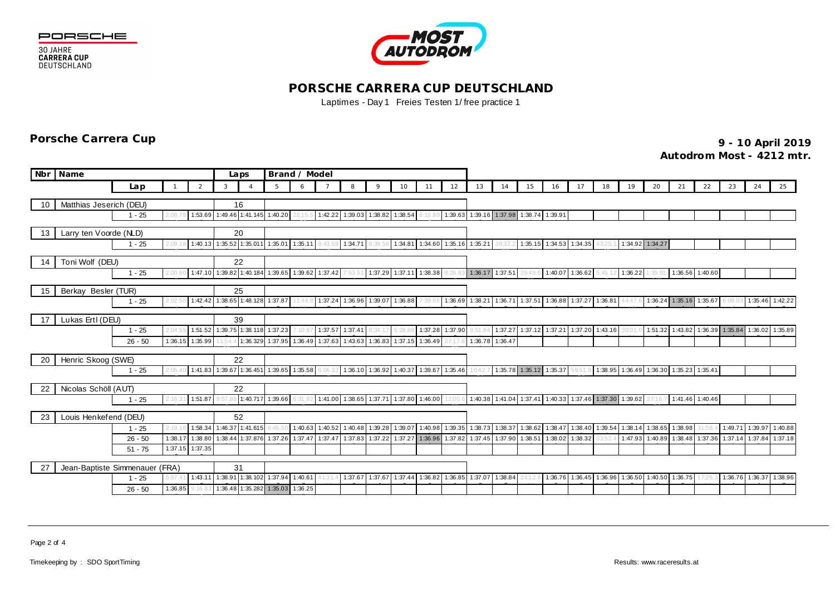

**30 JAHRE<br>CARRERA CUP<br>DEUTSCHLAND** 



## **PORSCHE CARRERA CUP DEUTSCHLAND** Laptimes - Day 1 Freies Testen 1/ free practice 1

**9 - 10 April 2019 Porsche Carrera Cup**

**Autodrom Most - 4212 mtr.**

| Nbr | <b>Name</b>             |                                                      |         |               | Laps          |                | Brand / Model                            |         |         |                                         |                                 |         |         |                                                 |                 |                         |                                                         |    |                                |    |                                                         |                         |                         |                                                 |                         |                 |    |
|-----|-------------------------|------------------------------------------------------|---------|---------------|---------------|----------------|------------------------------------------|---------|---------|-----------------------------------------|---------------------------------|---------|---------|-------------------------------------------------|-----------------|-------------------------|---------------------------------------------------------|----|--------------------------------|----|---------------------------------------------------------|-------------------------|-------------------------|-------------------------------------------------|-------------------------|-----------------|----|
|     |                         | Lap                                                  |         | $\mathcal{P}$ | 3             | $\overline{A}$ | 5                                        | 6       |         | 8                                       |                                 | 10      | 11      | 12                                              | 13              | 14                      | 15                                                      | 16 | 17                             | 18 | 19                                                      | 20                      | 21                      | 22                                              | 23                      | 24              | 25 |
|     |                         |                                                      |         |               | 16            |                |                                          |         |         |                                         |                                 |         |         |                                                 |                 |                         |                                                         |    |                                |    |                                                         |                         |                         |                                                 |                         |                 |    |
| 10  | Matthias Jeserich (DEU) | $1 - 25$                                             | 2:08.7  |               |               |                | 1:53.69 1:49.46 1:41.145 1:40.20         |         | 1:42.22 | 1:39.03 1:38.82 1:38.54                 |                                 |         |         |                                                 |                 |                         | 1:39.63 1:39.16 1:37.98 1:38.74 1:39.91                 |    |                                |    |                                                         |                         |                         |                                                 |                         |                 |    |
|     |                         |                                                      |         |               |               |                |                                          |         |         |                                         |                                 |         |         |                                                 |                 |                         |                                                         |    |                                |    |                                                         |                         |                         |                                                 |                         |                 |    |
| 13  | Larry ten Voorde (NLD)  |                                                      |         |               | 20            |                |                                          |         |         |                                         |                                 |         |         |                                                 |                 |                         |                                                         |    |                                |    |                                                         |                         |                         |                                                 |                         |                 |    |
|     |                         | $1 - 25$                                             | 2:09.1  |               |               |                | 1:40.13 1:35.52 1:35.011 1:35.01 1:35.11 |         | 8:43.59 | 1:34.71 8:39.56                         |                                 |         |         | 1:34.81 1:34.60 1:35.16 1:35.21                 |                 |                         |                                                         |    | 1:35.15 1:34.53 1:34.35 43:25. |    |                                                         | 1:34.92 1:34.27         |                         |                                                 |                         |                 |    |
| 14  | Toni Wolf (DEU)         |                                                      |         |               | 22            |                |                                          |         |         |                                         |                                 |         |         |                                                 |                 |                         |                                                         |    |                                |    |                                                         |                         |                         |                                                 |                         |                 |    |
|     |                         | $1 - 25$                                             | 2:00.8  | 1:47.10       | 1:39.82       |                | 1:40.184 1:39.65 1:39.62                 |         | 1:37.42 | 7:53.5                                  | 1:37.29 1:37.11                 |         | 1:38.38 |                                                 |                 | 1:36.17 1:37.51         | 25:49.6                                                 |    | 1:40.07 1:36.62 5:45.12        |    | 1:36.22                                                 | :39:01                  | 1:36.56 1:40.60         |                                                 |                         |                 |    |
|     |                         |                                                      |         |               |               |                |                                          |         |         |                                         |                                 |         |         |                                                 |                 |                         |                                                         |    |                                |    |                                                         |                         |                         |                                                 |                         |                 |    |
| 15  | Berkay Besler (TUR)     | $1 - 25$                                             | 2:02.5  | 1:42.42       | 25<br>1:38.65 |                | 1:48.128 1:37.87                         | 11:44.  | 1:37.24 | 1:36.96 1:39.07                         |                                 | 1:36.88 | 7:39.86 |                                                 |                 | 1:36.69 1:38.21 1:36.71 | 1:37.51                                                 |    | 1:36.88 1:37.27 1:36.81        |    | 44:47.                                                  |                         | 1:36.24 1:35.16 1:35.67 |                                                 | 6:09.03                 | 1:35.46 1:42.22 |    |
|     |                         |                                                      |         |               |               |                |                                          |         |         |                                         |                                 |         |         |                                                 |                 |                         |                                                         |    |                                |    |                                                         |                         |                         |                                                 |                         |                 |    |
| 17  | Lukas Ertl (DEU)        |                                                      |         |               | 39            |                |                                          |         |         |                                         |                                 |         |         |                                                 |                 |                         |                                                         |    |                                |    |                                                         |                         |                         |                                                 |                         |                 |    |
|     |                         | $1 - 25$                                             | 2:04.   |               |               |                | 1:51.52 1:39.75 1:38.118 1:37.23         | 7:10.8  | 1:37.57 | 1:37.41                                 |                                 |         | 1:37.28 | 1:37.90                                         |                 | 9:51.84 1:37.27         | 1:37.12 1:37.21 1:37.20 1:43.16                         |    |                                |    | 30:01.                                                  |                         |                         | 1:51.32 1:43.82 1:36.39 1:35.84 1:36.02 1:35.89 |                         |                 |    |
|     |                         | $26 - 50$                                            | 1:36.15 | 1:35.99       | 11:54.4       |                | 1:36.329 1:37.95 1:36.49                 |         |         | 1:37.63 1:43.63 1:36.83 1:37.15 1:36.49 |                                 |         |         | 27:17.8                                         | 1:36.78 1:36.47 |                         |                                                         |    |                                |    |                                                         |                         |                         |                                                 |                         |                 |    |
| 20  | Henric Skoog (SWE)      | 22                                                   |         |               |               |                |                                          |         |         |                                         |                                 |         |         |                                                 |                 |                         |                                                         |    |                                |    |                                                         |                         |                         |                                                 |                         |                 |    |
|     |                         | $1 - 25$                                             | 2:05.4  |               |               |                | 1:41.83 1:39.67 1:36.451 1:39.65 1:35.58 |         | 6:06.33 |                                         |                                 |         |         | 1:36.10 1:36.92 1:40.37 1:39.67 1:35.46 10:42.7 |                 |                         | 1:35.78 1:35.12 1:35.37 59:51.9                         |    |                                |    | 1:38.95 1:36.49 1:36.30 1:35.23 1:35.41                 |                         |                         |                                                 |                         |                 |    |
|     |                         |                                                      |         |               |               |                |                                          |         |         |                                         |                                 |         |         |                                                 |                 |                         |                                                         |    |                                |    |                                                         |                         |                         |                                                 |                         |                 |    |
| 22  | Nicolas Schöll (AUT)    |                                                      |         |               | 22            |                |                                          |         |         |                                         |                                 |         |         |                                                 |                 |                         |                                                         |    |                                |    |                                                         |                         |                         |                                                 |                         |                 |    |
|     |                         | $1 - 25$                                             |         | 1:51.87       |               |                | 1:40.717 1:39.66                         |         | 1:41.00 | 1:38.65 1:37.71 1:37.80                 |                                 |         | 1:46.00 | 12:00.6                                         |                 |                         | 1:40.38 1:41.04 1:37.41 1:40.33 1:37.46 1:37.30 1:39.62 |    |                                |    |                                                         | 27:16.7                 | 1:41.46 1:40.46         |                                                 |                         |                 |    |
| 23  | Louis Henkefend (DEU)   |                                                      |         |               | 52            |                |                                          |         |         |                                         |                                 |         |         |                                                 |                 |                         |                                                         |    |                                |    |                                                         |                         |                         |                                                 |                         |                 |    |
|     |                         | $1 - 25$                                             | 2:19.1  | 1:58.34       | 1:46.37       | 1:41.615       | 6:45.5                                   | 1:40.63 | 1:40.52 | 1:40.48 1:39.28 1:39.07                 |                                 |         | 1:40.98 |                                                 |                 | 1:39.35 1:38.73 1:38.37 | 1:38.62                                                 |    |                                |    | 1:38.47 1:38.40 1:39.54 1:38.14                         | 1:38.65 1:38.98 31:58.4 |                         |                                                 | 1:49.71 1:39.97 1:40.88 |                 |    |
|     |                         | $26 - 50$                                            | 1:38.17 | 1:38.80       | 1:38.44       |                | 1:37.876 1:37.26 1:37.47                 |         | 1:37.47 | 1:37.83 1:37.22 1:37.27 1:36.96         |                                 |         |         |                                                 |                 | 1:37.82 1:37.45 1:37.90 | 1:38.51                                                 |    | 1:38.02 1:38.32                |    | 1:47.93                                                 | 1:40.89                 | 1:38.48 1:37.36         |                                                 | 1:37.14                 | 1:37.84 1:37.18 |    |
|     |                         | $51 - 75$                                            | 1:37.15 | 1:37.35       |               |                |                                          |         |         |                                         |                                 |         |         |                                                 |                 |                         |                                                         |    |                                |    |                                                         |                         |                         |                                                 |                         |                 |    |
| 27  |                         |                                                      | 31      |               |               |                |                                          |         |         |                                         |                                 |         |         |                                                 |                 |                         |                                                         |    |                                |    |                                                         |                         |                         |                                                 |                         |                 |    |
|     |                         | Jean-Baptiste Simmenauer (FRA)<br>$1 - 25$<br>5:57.4 |         | 1:43.11       |               |                | 1:38.91 1:38.102 1:37.94 1:40.61         |         | 41:31.4 |                                         | 1:37.67 1:37.67 1:37.44 1:36.82 |         |         |                                                 |                 | 1:36.85 1:37.07 1:38.84 | 24:12.8                                                 |    |                                |    | 1:36.76 1:36.45 1:36.96 1:36.50 1:40.50 1:36.75 17:25.3 |                         |                         |                                                 | 1:36.76 1:36.37 1:38.96 |                 |    |
|     |                         | $26 - 50$                                            | 1:36.85 |               |               |                | 1:36.48 1:35.282 1:35.03 1:36.25         |         |         |                                         |                                 |         |         |                                                 |                 |                         |                                                         |    |                                |    |                                                         |                         |                         |                                                 |                         |                 |    |
|     |                         |                                                      |         |               |               |                |                                          |         |         |                                         |                                 |         |         |                                                 |                 |                         |                                                         |    |                                |    |                                                         |                         |                         |                                                 |                         |                 |    |

Page 2 of 4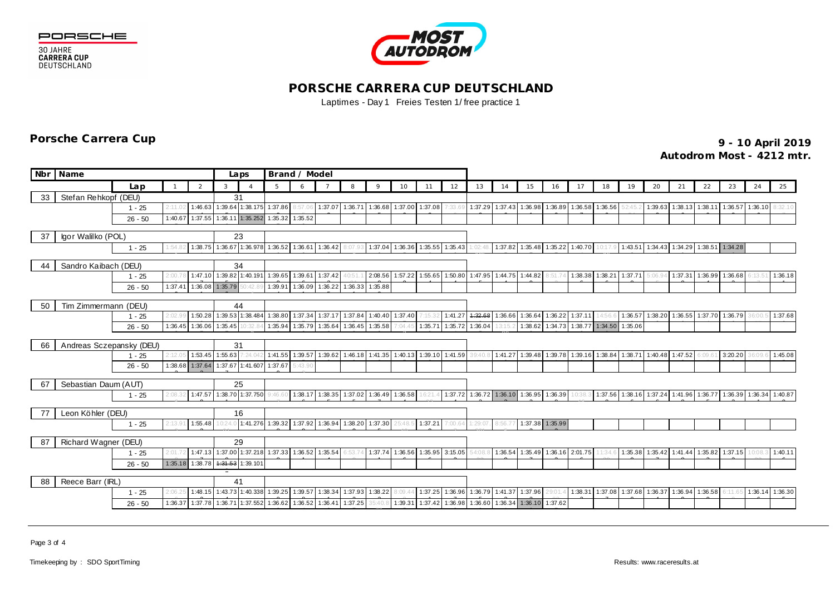





## **PORSCHE CARRERA CUP DEUTSCHLAND** Laptimes - Day 1 Freies Testen 1/ free practice 1

**9 - 10 April 2019 Porsche Carrera Cup Autodrom Most - 4212 mtr.**

|    | Nbr Name                 |           |              |                 |                 | Laps                             | Brand / Model                                    |                 |                         |                                         |                                         |                   |                 |                         |          |                 |                                                                                         |                 |                                 |         |                                                                 |    |    |                                           |         |         |                 |
|----|--------------------------|-----------|--------------|-----------------|-----------------|----------------------------------|--------------------------------------------------|-----------------|-------------------------|-----------------------------------------|-----------------------------------------|-------------------|-----------------|-------------------------|----------|-----------------|-----------------------------------------------------------------------------------------|-----------------|---------------------------------|---------|-----------------------------------------------------------------|----|----|-------------------------------------------|---------|---------|-----------------|
|    |                          | Lap       | $\mathbf{1}$ | 2               | 3               |                                  | 5 <sup>5</sup>                                   | 6               | $\overline{7}$          | 8                                       | $\circ$                                 | 10                | 11              | 12                      | 13       | 14              | 15                                                                                      | 16              | 17                              | 18      | 19                                                              | 20 | 21 | 22                                        | 23      | 24      | 25              |
| 33 | Stefan Rehkopf (DEU)     |           |              |                 |                 | 31                               |                                                  |                 |                         |                                         |                                         |                   |                 |                         |          |                 |                                                                                         |                 |                                 |         |                                                                 |    |    |                                           |         |         |                 |
|    |                          | $1 - 25$  | 2:11.0       | 1:46.63         |                 |                                  | 1:39.64 1:38.175 1:37.86                         | 8:57.           | 1:37.07                 | 1:36.71                                 | 1:36.68                                 |                   | 1:37.00 1:37.08 | :33.69                  | 1:37.29  | 1:37.43         |                                                                                         | 1:36.98 1:36.89 | 1:36.58                         | 1:36.56 |                                                                 |    |    | 1:39.63 1:38.13 1:38.11                   | 1:36.57 | 1:36.10 | 8:32.10         |
|    |                          | $26 - 50$ | 1:40.67      |                 |                 | 1:37.55 1:36.11 1:35.252         |                                                  | 1:35.32 1:35.52 |                         |                                         |                                         |                   |                 |                         |          |                 |                                                                                         |                 |                                 |         |                                                                 |    |    |                                           |         |         |                 |
|    |                          |           |              |                 |                 |                                  |                                                  |                 |                         |                                         |                                         |                   |                 |                         |          |                 |                                                                                         |                 |                                 |         |                                                                 |    |    |                                           |         |         |                 |
| 37 | Igor Walilko (POL)       |           |              |                 |                 | 23                               |                                                  |                 |                         |                                         |                                         |                   |                 |                         |          |                 |                                                                                         |                 |                                 |         |                                                                 |    |    |                                           |         |         |                 |
|    |                          | $1 - 25$  | :54.8        |                 |                 |                                  | 1:38.75 1:36.67 1:36.978 1:36.52 1:36.61 1:36.42 |                 |                         | 8:07.93                                 | 1:37.04 1:36.36 1:35.55 1:35.43         |                   |                 |                         | 1:02:48. |                 | 1:37.82 1:35.48 1:35.22 1:40.70                                                         |                 |                                 | 10:17.9 | 1:43.51 1:34.43 1:34.29 1:38.51 1:34.28                         |    |    |                                           |         |         |                 |
| 44 | Sandro Kaibach (DEU)     |           |              |                 |                 | 34                               |                                                  |                 |                         |                                         |                                         |                   |                 |                         |          |                 |                                                                                         |                 |                                 |         |                                                                 |    |    |                                           |         |         |                 |
|    |                          | $1 - 25$  | 2:00.7       |                 |                 | 1:47.10 1:39.82 1:40.191         |                                                  |                 | 1:39.65 1:39.61 1:37.42 | 40:51.                                  | 2:08.56 1:57.22 1:55.65 1:50.80         |                   |                 |                         |          |                 | 1:47.95 1:44.75 1:44.82 8:51.74 1:38.38 1:38.21 1:37.71 5:06.94                         |                 |                                 |         |                                                                 |    |    | $1:37.31$ 1:36.99 1:36.68 6:13.51 1:36.18 |         |         |                 |
|    |                          | $26 - 50$ | 1:37.41      | 1:36.08 1:35.79 |                 |                                  |                                                  |                 |                         | 1:39.91 1:36.09 1:36.22 1:36.33 1:35.88 |                                         |                   |                 |                         |          |                 |                                                                                         |                 |                                 |         |                                                                 |    |    |                                           |         |         |                 |
|    |                          |           |              |                 |                 |                                  |                                                  |                 |                         |                                         |                                         |                   |                 |                         |          |                 |                                                                                         |                 |                                 |         |                                                                 |    |    |                                           |         |         |                 |
| 50 | Tim Zimmermann (DEU)     |           | 44           |                 |                 |                                  |                                                  |                 |                         |                                         |                                         |                   |                 |                         |          |                 |                                                                                         |                 |                                 |         |                                                                 |    |    |                                           |         |         |                 |
|    |                          | $1 - 25$  | .02.9        |                 |                 | 1:50.28 1:39.53 1:38.484         | 1:38.80                                          | 1:37.34 1:37.17 |                         | 1:37.84                                 | 1:40.40                                 | 1:37.40           |                 | 1:41.27                 | 4:32.68  | 1:36.66         | 1:36.64 1:36.22                                                                         |                 | 1:37.11                         | 14:56.1 |                                                                 |    |    | 1:36.57 1:38.20 1:36.55 1:37.70           | 1:36.79 |         | 1:37.68         |
|    |                          | $26 - 50$ | 1:36.45      |                 | 1:36.06 1:35.45 |                                  |                                                  |                 | 1:35.94 1:35.79 1:35.64 |                                         | 1:36.45 1:35.58                         | 7:04.45           |                 | 1:35.71 1:35.72         | 1:36.04  |                 |                                                                                         |                 | 1:38.62 1:34.73 1:38.77 1:34.50 |         | 1:35.06                                                         |    |    |                                           |         |         |                 |
| 66 | Andreas Sczepansky (DEU) |           | 31           |                 |                 |                                  |                                                  |                 |                         |                                         |                                         |                   |                 |                         |          |                 |                                                                                         |                 |                                 |         |                                                                 |    |    |                                           |         |         |                 |
|    |                          | $1 - 25$  | :12.01       |                 | 1:53.45 1:55.63 | 1:24.042                         |                                                  |                 |                         |                                         | 1:41.55 1:39.57 1:39.62 1:46.18 1:41.35 |                   |                 | 1:40.13 1:39.10 1:41.59 | 39:40.8  |                 | 1:41.27 1:39.48 1:39.78 1:39.16 1:38.84 1:38.71 1:40.48 1:47.52 6:09.61                 |                 |                                 |         |                                                                 |    |    |                                           | 3:20.20 |         | 1:45.08         |
|    |                          | $26 - 50$ |              | 1:38.68 1:37.64 |                 | 1:37.67 1:41.607                 | 1:37.67                                          | 5:43.90         |                         |                                         |                                         |                   |                 |                         |          |                 |                                                                                         |                 |                                 |         |                                                                 |    |    |                                           |         |         |                 |
|    |                          |           |              |                 |                 |                                  |                                                  |                 |                         |                                         |                                         |                   |                 |                         |          |                 |                                                                                         |                 |                                 |         |                                                                 |    |    |                                           |         |         |                 |
| 67 | Sebastian Daum (AUT)     |           |              |                 |                 | 25                               |                                                  |                 |                         |                                         |                                         |                   |                 |                         |          |                 |                                                                                         |                 |                                 |         |                                                                 |    |    |                                           |         |         |                 |
|    |                          | $1 - 25$  | 2:08:        |                 |                 | 1:47.57 1:38.70 1:37.750         | 9.466                                            |                 |                         |                                         |                                         |                   |                 |                         |          |                 | 1:38.17 1:38.35 1:37.02 1:36.49 1:36.58 16:21.4 1:37.72 1:36.72 1:36.10 1:36.95 1:36.39 |                 | 10:38.3                         |         | 1:37.56 1:38.16 1:37.24 1:41.96 1:36.77 1:36.39 1:36.34 1:40.87 |    |    |                                           |         |         |                 |
| 77 | Leon Köhler (DEU)        |           |              |                 |                 | 16                               |                                                  |                 |                         |                                         |                                         |                   |                 |                         |          |                 |                                                                                         |                 |                                 |         |                                                                 |    |    |                                           |         |         |                 |
|    |                          | $1 - 25$  | 2:13.9'      | 1:55.48         |                 | 10:24.0 1:41.276                 |                                                  |                 |                         |                                         | 1:39.32 1:37.92 1:36.94 1:38.20 1:37.30 | 25:48.5           | 1:37.21         | 7:00.64                 | 1:29:07  | 8:56.77         | 1:37.38 1:35.99                                                                         |                 |                                 |         |                                                                 |    |    |                                           |         |         |                 |
|    |                          |           |              |                 |                 |                                  |                                                  |                 |                         |                                         |                                         |                   |                 |                         |          |                 |                                                                                         |                 |                                 |         |                                                                 |    |    |                                           |         |         |                 |
| 87 | Richard Wagner (DEU)     |           |              |                 |                 |                                  |                                                  |                 |                         |                                         |                                         |                   |                 |                         |          |                 |                                                                                         |                 |                                 |         |                                                                 |    |    |                                           |         |         |                 |
|    |                          | $1 - 25$  | 2:01.7       |                 |                 |                                  | 1:47.13 1:37.00 1:37.218 1:37.33 1:36.52 1:35.54 |                 |                         | 6:53.7                                  | 1:37.74                                 |                   |                 | 1:36.56 1:35.95 3:15.05 | 54:08.8  | 1:36.54         |                                                                                         |                 | 1:35.49 1:36.16 2:01.75         | 11:34.6 |                                                                 |    |    | 1:35.38 1:35.42 1:41.44 1:35.82           | 1:37.15 | 10:08.3 | 1:40.11         |
|    |                          | $26 - 50$ |              |                 |                 | 1:35.18 1:38.78 1:34.53 1:39.101 |                                                  |                 |                         |                                         |                                         |                   |                 |                         |          |                 |                                                                                         |                 |                                 |         |                                                                 |    |    |                                           |         |         |                 |
|    |                          |           |              |                 |                 |                                  |                                                  |                 |                         |                                         |                                         |                   |                 |                         |          |                 |                                                                                         |                 |                                 |         |                                                                 |    |    |                                           |         |         |                 |
| 88 | Reece Barr (IRL)         |           |              |                 |                 | 41<br>1:48.15 1:43.73 1:40.338   |                                                  |                 | 1:39.25 1:39.57 1:38.34 | 1:37.93                                 | 1:38.22                                 |                   |                 | 1:37.25 1:36.96         |          | 1:36.79 1:41.37 | 1:37.96 29:01.                                                                          |                 |                                 |         | 1:38.31 1:37.08 1:37.68 1:36.37 1:36.94 1:36.58                 |    |    |                                           | 6:11.65 |         | 1:36.14 1:36.30 |
|    |                          | $1 - 25$  | 1:36.37      |                 |                 | 1:37.78 1:36.71 1:37.552         | 1:36.62                                          | 1:36.52 1:36.41 |                         | 1:37.25                                 |                                         | 8:09.4<br>1:39.31 |                 | 1:37.42 1:36.98         | 1:36.60  |                 | 1:36.34 1:36.10 1:37.62                                                                 |                 |                                 |         |                                                                 |    |    |                                           |         |         |                 |
|    |                          | $26 - 50$ |              |                 |                 |                                  |                                                  |                 |                         |                                         | 35:40.8                                 |                   |                 |                         |          |                 |                                                                                         |                 |                                 |         |                                                                 |    |    |                                           |         |         |                 |

Page 3 of 4